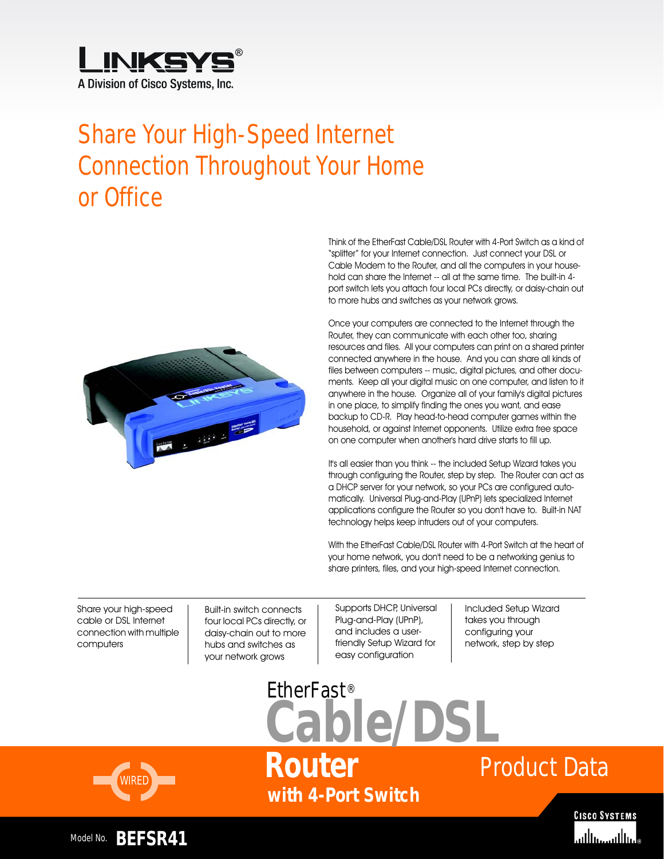

# Share Your High-Speed Internet Connection Throughout Your Home or Office



Think of the EtherFast Cable/DSL Router with 4-Port Switch as a kind of "splitter" for your Internet connection. Just connect your DSL or Cable Modem to the Router, and all the computers in your household can share the Internet -- all at the same time. The built-in 4 port switch lets you attach four local PCs directly, or daisy-chain out to more hubs and switches as your network grows.

Once your computers are connected to the Internet through the Router, they can communicate with each other too, sharing resources and files. All your computers can print on a shared printer connected anywhere in the house. And you can share all kinds of files between computers -- music, digital pictures, and other documents. Keep all your digital music on one computer, and listen to it anywhere in the house. Organize all of your family's digital pictures in one place, to simplify finding the ones you want, and ease backup to CD-R. Play head-to-head computer games within the household, or against Internet opponents. Utilize extra free space on one computer when another's hard drive starts to fill up.

It's all easier than you think -- the included Setup Wizard takes you through configuring the Router, step by step. The Router can act as a DHCP server for your network, so your PCs are configured automatically. Universal Plug-and-Play (UPnP) lets specialized Internet applications configure the Router so you don't have to. Built-in NAT technology helps keep intruders out of your computers.

With the EtherFast Cable/DSL Router with 4-Port Switch at the heart of your home network, you don't need to be a networking genius to share printers, files, and your high-speed Internet connection.

Share your high-speed cable or DSL Internet connection with multiple computers

Built-in switch connects four local PCs directly, or daisy-chain out to more hubs and switches as your network grows

Supports DHCP, Universal Plug-and-Play (UPnP), and includes a userfriendly Setup Wizard for easy configuration

Included Setup Wizard takes you through configuring your network, step by step



**with 4-Port Switch Cable/DSL Router**

EtherFast®

# Product Data